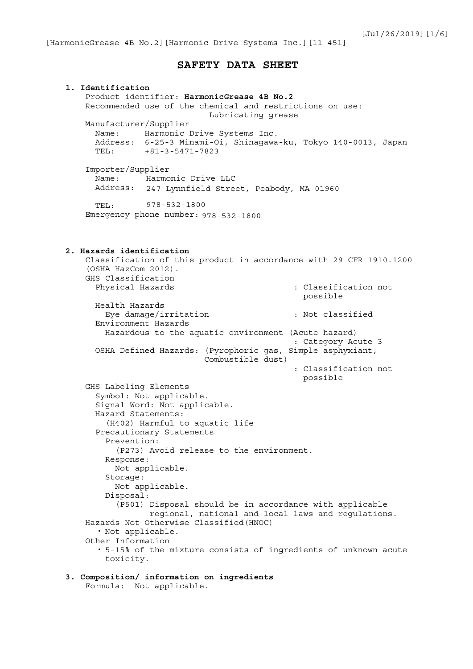## **SAFETY DATA SHEET**

**1. Identification** Product identifier: **HarmonicGrease 4B No.2** Recommended use of the chemical and restrictions on use: Lubricating grease Manufacturer/Supplier Name: Harmonic Drive Systems Inc. Address: 6-25-3 Minami-Oi, Shinagawa-ku, Tokyo 140-0013, Japan TEL: +81-3-5471-7823 Importer/Supplier Name: Harmonic Drive LLC Address: 247 Lynnfield Street, Peabody, MA 01960 TEL: Emergency phone number: 978-532-1800**2. Hazards identification** Classification of this product in accordance with 29 CFR 1910.1200 (OSHA HazCom 2012). GHS Classification Physical Hazards  $\qquad \qquad :$  Classification not possible Health Hazards Eye damage/irritation : Not classified Environment Hazards Hazardous to the aquatic environment (Acute hazard) : Category Acute 3 OSHA Defined Hazards: (Pyrophoric gas, Simple asphyxiant, Combustible dust) : Classification not possible GHS Labeling Elements Symbol: Not applicable. Signal Word: Not applicable. Hazard Statements: (H402) Harmful to aquatic life Precautionary Statements Prevention: (P273) Avoid release to the environment. Response: Not applicable. Storage: Not applicable. Disposal: (P501) Disposal should be in accordance with applicable regional, national and local laws and regulations. Hazards Not Otherwise Classified(HNOC) ・ Not applicable. Other Information ・ 5-15% of the mixture consists of ingredients of unknown acute toxicity. **3. Composition/ information on ingredients** Formula: Not applicable. 978-532-1800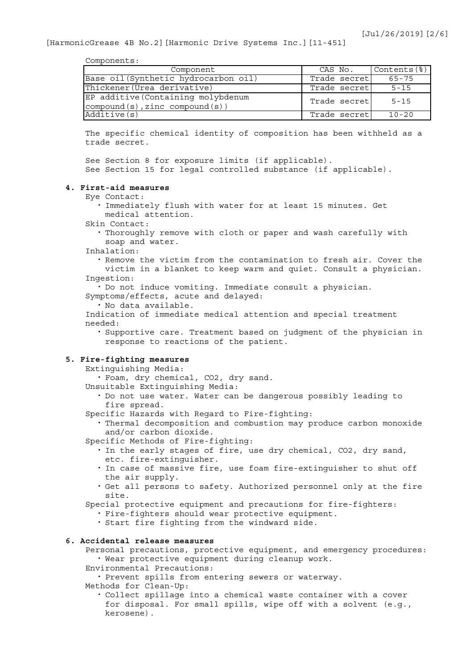Components:

| Component                                                                            | CAS No.       | $\vert$ Contents $\langle \, \rangle$ |
|--------------------------------------------------------------------------------------|---------------|---------------------------------------|
| Base oil (Synthetic hydrocarbon oil)                                                 | Trade secret  | 65-75                                 |
| Thickener (Urea derivative)                                                          | Trade secret  | $5 - 15$                              |
| EP additive (Containing molybdenum<br>$\mathsf{compound}(s)$ , zinc compound $(s)$ ) | Trade secretl | $5 - 15$                              |
| Additive(s)                                                                          | Trade secretl | $10 - 20$                             |

The specific chemical identity of composition has been withheld as a trade secret.

See Section 8 for exposure limits (if applicable). See Section 15 for legal controlled substance (if applicable).

### **4. First-aid measures**

- Eye Contact:
	- ・ Immediately flush with water for at least 15 minutes. Get medical attention.
- Skin Contact:

・ Thoroughly remove with cloth or paper and wash carefully with soap and water.

Inhalation:

・ Remove the victim from the contamination to fresh air. Cover the victim in a blanket to keep warm and quiet. Consult a physician. Ingestion:

・ Do not induce vomiting. Immediate consult a physician.

Symptoms/effects, acute and delayed:

・ No data available.

Indication of immediate medical attention and special treatment needed:

・ Supportive care. Treatment based on judgment of the physician in response to reactions of the patient.

## **5. Fire-fighting measures**

Extinguishing Media:

・ Foam, dry chemical, CO2, dry sand.

- Unsuitable Extinguishing Media:
	- ・ Do not use water. Water can be dangerous possibly leading to fire spread.
- Specific Hazards with Regard to Fire-fighting:
	- ・ Thermal decomposition and combustion may produce carbon monoxide and/or carbon dioxide.
- Specific Methods of Fire-fighting:
	- ・ In the early stages of fire, use dry chemical, CO2, dry sand, etc. fire-extinguisher.
	- ・ In case of massive fire, use foam fire-extinguisher to shut off the air supply.
	- ・ Get all persons to safety. Authorized personnel only at the fire site.

Special protective equipment and precautions for fire-fighters:

- ・ Fire-fighters should wear protective equipment.
- ・ Start fire fighting from the windward side.

## **6. Accidental release measures**

Personal precautions, protective equipment, and emergency procedures: ・ Wear protective equipment during cleanup work.

Environmental Precautions:

・ Prevent spills from entering sewers or waterway.

Methods for Clean-Up:

・ Collect spillage into a chemical waste container with a cover for disposal. For small spills, wipe off with a solvent (e.g., kerosene).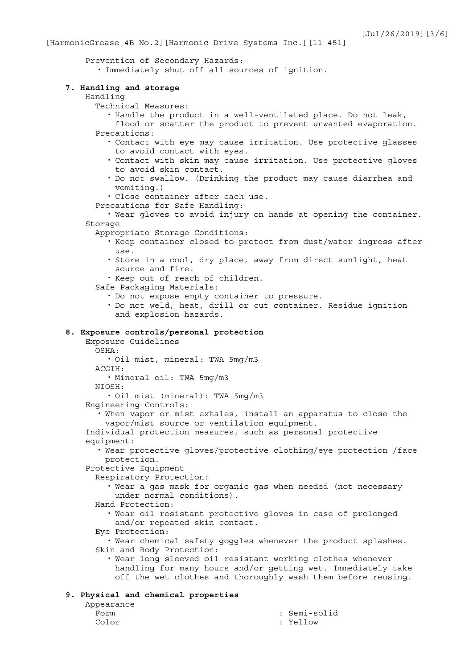Prevention of Secondary Hazards:

・ Immediately shut off all sources of ignition.

### **7. Handling and storage**

#### Handling

Technical Measures:

- ・ Handle the product in a well-ventilated place. Do not leak,
- flood or scatter the product to prevent unwanted evaporation. Precautions:
	- ・ Contact with eye may cause irritation. Use protective glasses to avoid contact with eyes.
	- ・ Contact with skin may cause irritation. Use protective gloves to avoid skin contact.
	- ・ Do not swallow. (Drinking the product may cause diarrhea and vomiting.)

・ Close container after each use.

- Precautions for Safe Handling:
- ・ Wear gloves to avoid injury on hands at opening the container. Storage
	- Appropriate Storage Conditions:
		- ・ Keep container closed to protect from dust/water ingress after use.
		- ・ Store in a cool, dry place, away from direct sunlight, heat source and fire.

・ Keep out of reach of children.

- Safe Packaging Materials:
	- ・ Do not expose empty container to pressure.
	- ・ Do not weld, heat, drill or cut container. Residue ignition and explosion hazards.

### **8. Exposure controls/personal protection**

Exposure Guidelines OSHA:

・ Oil mist, mineral: TWA 5mg/m3

ACGIH:

・ Mineral oil: TWA 5mg/m3

NIOSH:

・ Oil mist (mineral): TWA 5mg/m3

Engineering Controls:

・ When vapor or mist exhales, install an apparatus to close the vapor/mist source or ventilation equipment.

Individual protection measures, such as personal protective equipment:

・ Wear protective gloves/protective clothing/eye protection /face protection.

Protective Equipment

Respiratory Protection:

・ Wear a gas mask for organic gas when needed (not necessary under normal conditions).

Hand Protection:

・ Wear oil-resistant protective gloves in case of prolonged and/or repeated skin contact.

Eye Protection:

・ Wear chemical safety goggles whenever the product splashes. Skin and Body Protection:

・ Wear long-sleeved oil-resistant working clothes whenever handling for many hours and/or getting wet. Immediately take off the wet clothes and thoroughly wash them before reusing.

### **9. Physical and chemical properties**

| Appearance |
|------------|
| Form       |
| Color      |

: Semi-solid Color : Yellow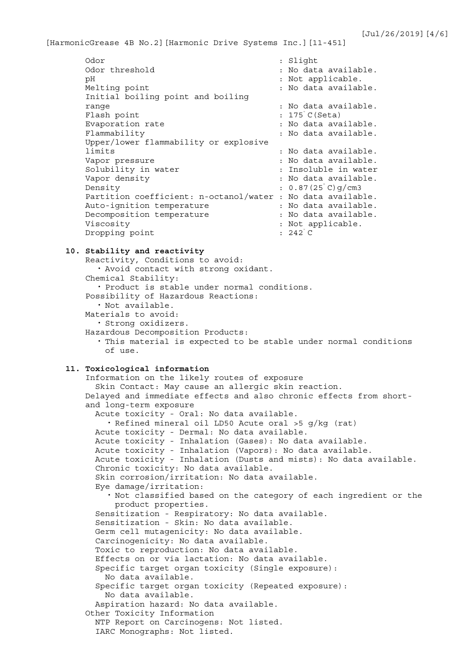| Odor                                                        | : Slight                                    |
|-------------------------------------------------------------|---------------------------------------------|
| Odor threshold                                              | : No data available.                        |
| рH                                                          | : Not applicable.                           |
| Melting point                                               | : No data available.                        |
| Initial boiling point and boiling                           |                                             |
| range                                                       | : No data available.                        |
| Flash point                                                 | $: 175^{\circ}$ C (Seta)                    |
| Evaporation rate                                            | : No data available.                        |
| Flammability                                                | : No data available.                        |
| Upper/lower flammability or explosive                       |                                             |
| limits                                                      | : No data available.                        |
| Vapor pressure                                              | : No data available.                        |
| Solubility in water                                         | : Insoluble in water                        |
| Vapor density                                               | : No data available.                        |
| Density                                                     | $: 0.87(25^{\circ} \text{C}) \text{q/cm}$ 3 |
| Partition coefficient: n-octanol/water : No data available. |                                             |
| Auto-ignition temperature                                   | : No data available.                        |
|                                                             |                                             |
| Decomposition temperature                                   | : No data available.                        |
| Viscosity                                                   | : Not applicable.                           |

### **10. Stability and reactivity**

Reactivity, Conditions to avoid: ・ Avoid contact with strong oxidant. Chemical Stability: ・ Product is stable under normal conditions. Possibility of Hazardous Reactions: ・ Not available. Materials to avoid: ・ Strong oxidizers. Hazardous Decomposition Products: ・ This material is expected to be stable under normal conditions of use.

# **11. Toxicological information**

```
Information on the likely routes of exposure
  Skin Contact: May cause an allergic skin reaction.
Delayed and immediate effects and also chronic effects from short-
and long-term exposure
  Acute toxicity - Oral: No data available.
    ・ Refined mineral oil LD50 Acute oral >5 g/kg (rat)
  Acute toxicity - Dermal: No data available.
 Acute toxicity - Inhalation (Gases): No data available.
  Acute toxicity - Inhalation (Vapors): No data available.
  Acute toxicity - Inhalation (Dusts and mists): No data available.
  Chronic toxicity: No data available.
  Skin corrosion/irritation: No data available.
 Eye damage/irritation:
    ・ Not classified based on the category of each ingredient or the 
      product properties.
  Sensitization - Respiratory: No data available.
  Sensitization - Skin: No data available.
  Germ cell mutagenicity: No data available.
  Carcinogenicity: No data available.
  Toxic to reproduction: No data available.
  Effects on or via lactation: No data available.
  Specific target organ toxicity (Single exposure):
   No data available.
  Specific target organ toxicity (Repeated exposure):
   No data available.
  Aspiration hazard: No data available.
Other Toxicity Information
 NTP Report on Carcinogens: Not listed.
  IARC Monographs: Not listed.
```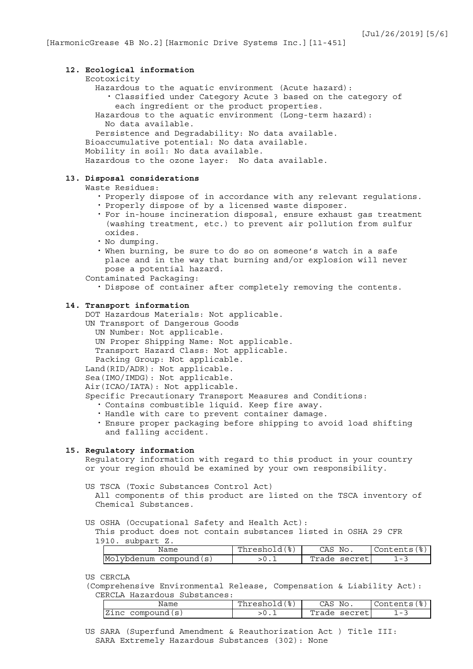## **12. Ecological information** Ecotoxicity Hazardous to the aquatic environment (Acute hazard): ・ Classified under Category Acute 3 based on the category of each ingredient or the product properties. Hazardous to the aquatic environment (Long-term hazard): No data available. Persistence and Degradability: No data available. Bioaccumulative potential: No data available. Mobility in soil: No data available. Hazardous to the ozone layer: No data available.

## **13. Disposal considerations**

### Waste Residues:

- ・ Properly dispose of in accordance with any relevant regulations. ・ Properly dispose of by a licensed waste disposer.
- ・ For in-house incineration disposal, ensure exhaust gas treatment (washing treatment, etc.) to prevent air pollution from sulfur oxides.
- ・ No dumping.
- ・ When burning, be sure to do so on someone's watch in a safe place and in the way that burning and/or explosion will never pose a potential hazard.
- Contaminated Packaging:
	- ・ Dispose of container after completely removing the contents.

### **14. Transport information**

DOT Hazardous Materials: Not applicable.

- UN Transport of Dangerous Goods UN Number: Not applicable. UN Proper Shipping Name: Not applicable. Transport Hazard Class: Not applicable. Packing Group: Not applicable. Land(RID/ADR): Not applicable. Sea(IMO/IMDG): Not applicable. Air(ICAO/IATA): Not applicable. Specific Precautionary Transport Measures and Conditions: ・ Contains combustible liquid. Keep fire away.
	- ・ Handle with care to prevent container damage.
	- ・ Ensure proper packaging before shipping to avoid load shifting and falling accident.

### **15. Regulatory information**

Regulatory information with regard to this product in your country or your region should be examined by your own responsibility.

US TSCA (Toxic Substances Control Act)

All components of this product are listed on the TSCA inventory of Chemical Substances.

US OSHA (Occupational Safety and Health Act):

This product does not contain substances listed in OSHA 29 CFR 1910. subpart Z.

| Name                           | $\circ$<br>، 2010ء۔ | No.<br>CAS                                                                 | Contents                        |
|--------------------------------|---------------------|----------------------------------------------------------------------------|---------------------------------|
| Mol<br>.vbdenum<br>compound(s) |                     | $Tr$ 2.<br>$\lceil \cdot \rceil$<br>$C \cap C$<br>$\overline{a}$<br>UULLU. | $\hspace{0.1mm}-\hspace{0.1mm}$ |

US CERCLA

(Comprehensive Environmental Release, Compensation & Liability Act): CERCLA Hazardous Substances:

| Name        | ' 응 )<br>Threshold | CAS<br>No. | Contents'                |
|-------------|--------------------|------------|--------------------------|
| IZinc       |                    | Trade      | $\overline{\phantom{0}}$ |
| compound(s) |                    | secret     | -                        |

US SARA (Superfund Amendment & Reauthorization Act ) Title III: SARA Extremely Hazardous Substances (302): None